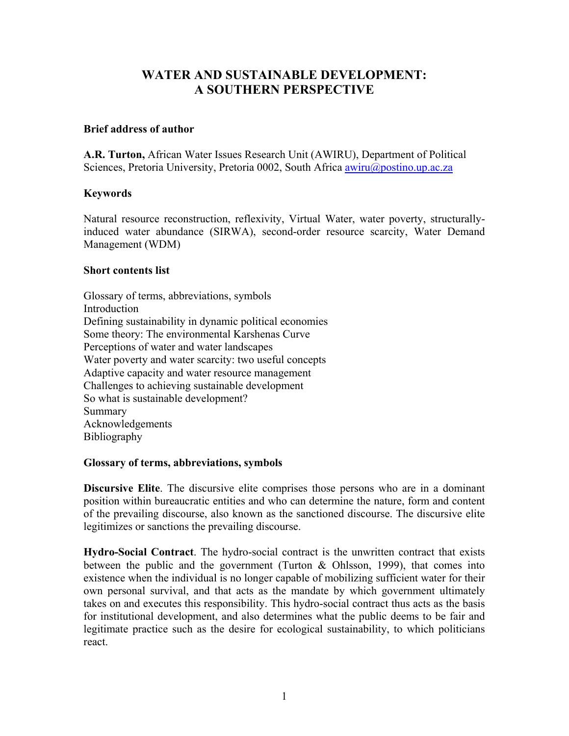# **WATER AND SUSTAINABLE DEVELOPMENT: A SOUTHERN PERSPECTIVE**

# **Brief address of author**

**A.R. Turton,** African Water Issues Research Unit (AWIRU), Department of Political Sciences, Pretoria University, Pretoria 0002, South Africa [awiru@postino.up.ac.za](mailto:awiru@postino.up.ac.za)

# **Keywords**

Natural resource reconstruction, reflexivity, Virtual Water, water poverty, structurallyinduced water abundance (SIRWA), second-order resource scarcity, Water Demand Management (WDM)

#### **Short contents list**

Glossary of terms, abbreviations, symbols Introduction Defining sustainability in dynamic political economies Some theory: The environmental Karshenas Curve Perceptions of water and water landscapes Water poverty and water scarcity: two useful concepts Adaptive capacity and water resource management Challenges to achieving sustainable development So what is sustainable development? Summary Acknowledgements Bibliography

#### **Glossary of terms, abbreviations, symbols**

**Discursive Elite**. The discursive elite comprises those persons who are in a dominant position within bureaucratic entities and who can determine the nature, form and content of the prevailing discourse, also known as the sanctioned discourse. The discursive elite legitimizes or sanctions the prevailing discourse.

**Hydro-Social Contract**. The hydro-social contract is the unwritten contract that exists between the public and the government (Turton & Ohlsson, 1999), that comes into existence when the individual is no longer capable of mobilizing sufficient water for their own personal survival, and that acts as the mandate by which government ultimately takes on and executes this responsibility. This hydro-social contract thus acts as the basis for institutional development, and also determines what the public deems to be fair and legitimate practice such as the desire for ecological sustainability, to which politicians react.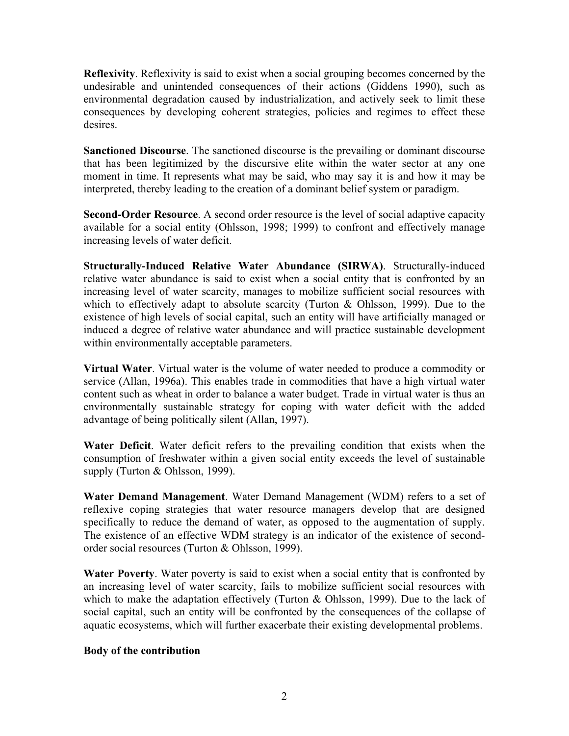**Reflexivity**. Reflexivity is said to exist when a social grouping becomes concerned by the undesirable and unintended consequences of their actions (Giddens 1990), such as environmental degradation caused by industrialization, and actively seek to limit these consequences by developing coherent strategies, policies and regimes to effect these desires.

**Sanctioned Discourse**. The sanctioned discourse is the prevailing or dominant discourse that has been legitimized by the discursive elite within the water sector at any one moment in time. It represents what may be said, who may say it is and how it may be interpreted, thereby leading to the creation of a dominant belief system or paradigm.

**Second-Order Resource**. A second order resource is the level of social adaptive capacity available for a social entity (Ohlsson, 1998; 1999) to confront and effectively manage increasing levels of water deficit.

**Structurally-Induced Relative Water Abundance (SIRWA)**. Structurally-induced relative water abundance is said to exist when a social entity that is confronted by an increasing level of water scarcity, manages to mobilize sufficient social resources with which to effectively adapt to absolute scarcity (Turton & Ohlsson, 1999). Due to the existence of high levels of social capital, such an entity will have artificially managed or induced a degree of relative water abundance and will practice sustainable development within environmentally acceptable parameters.

**Virtual Water**. Virtual water is the volume of water needed to produce a commodity or service (Allan, 1996a). This enables trade in commodities that have a high virtual water content such as wheat in order to balance a water budget. Trade in virtual water is thus an environmentally sustainable strategy for coping with water deficit with the added advantage of being politically silent (Allan, 1997).

**Water Deficit**. Water deficit refers to the prevailing condition that exists when the consumption of freshwater within a given social entity exceeds the level of sustainable supply (Turton & Ohlsson, 1999).

**Water Demand Management**. Water Demand Management (WDM) refers to a set of reflexive coping strategies that water resource managers develop that are designed specifically to reduce the demand of water, as opposed to the augmentation of supply. The existence of an effective WDM strategy is an indicator of the existence of secondorder social resources (Turton & Ohlsson, 1999).

**Water Poverty**. Water poverty is said to exist when a social entity that is confronted by an increasing level of water scarcity, fails to mobilize sufficient social resources with which to make the adaptation effectively (Turton & Ohlsson, 1999). Due to the lack of social capital, such an entity will be confronted by the consequences of the collapse of aquatic ecosystems, which will further exacerbate their existing developmental problems.

# **Body of the contribution**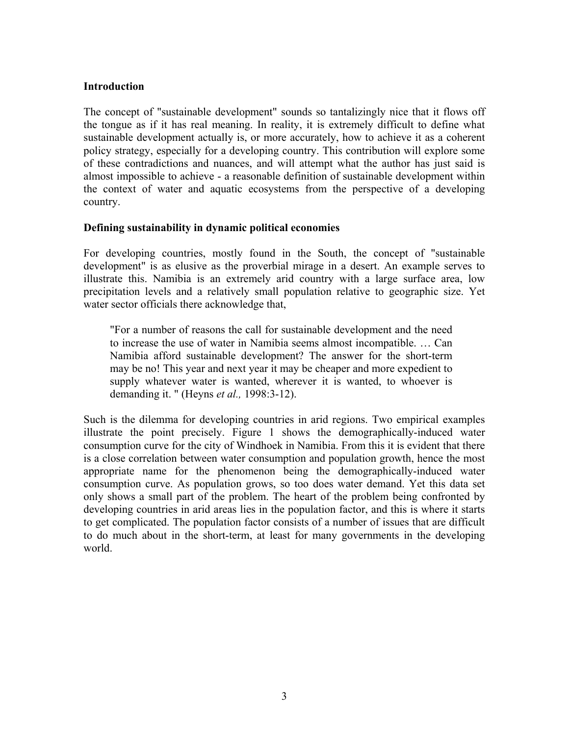# **Introduction**

The concept of "sustainable development" sounds so tantalizingly nice that it flows off the tongue as if it has real meaning. In reality, it is extremely difficult to define what sustainable development actually is, or more accurately, how to achieve it as a coherent policy strategy, especially for a developing country. This contribution will explore some of these contradictions and nuances, and will attempt what the author has just said is almost impossible to achieve - a reasonable definition of sustainable development within the context of water and aquatic ecosystems from the perspective of a developing country.

# **Defining sustainability in dynamic political economies**

For developing countries, mostly found in the South, the concept of "sustainable development" is as elusive as the proverbial mirage in a desert. An example serves to illustrate this. Namibia is an extremely arid country with a large surface area, low precipitation levels and a relatively small population relative to geographic size. Yet water sector officials there acknowledge that,

"For a number of reasons the call for sustainable development and the need to increase the use of water in Namibia seems almost incompatible. … Can Namibia afford sustainable development? The answer for the short-term may be no! This year and next year it may be cheaper and more expedient to supply whatever water is wanted, wherever it is wanted, to whoever is demanding it. " (Heyns *et al.,* 1998:3-12).

Such is the dilemma for developing countries in arid regions. Two empirical examples illustrate the point precisely. Figure 1 shows the demographically-induced water consumption curve for the city of Windhoek in Namibia. From this it is evident that there is a close correlation between water consumption and population growth, hence the most appropriate name for the phenomenon being the demographically-induced water consumption curve. As population grows, so too does water demand. Yet this data set only shows a small part of the problem. The heart of the problem being confronted by developing countries in arid areas lies in the population factor, and this is where it starts to get complicated. The population factor consists of a number of issues that are difficult to do much about in the short-term, at least for many governments in the developing world.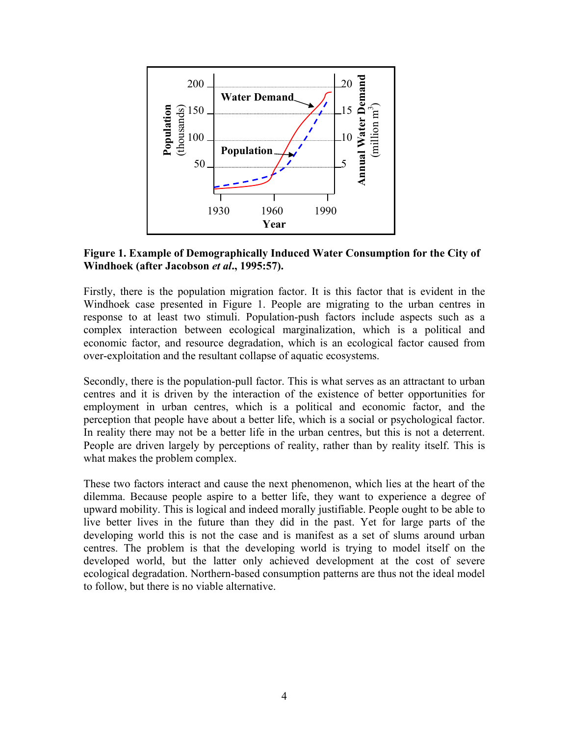

# **Figure 1. Example of Demographically Induced Water Consumption for the City of Windhoek (after Jacobson** *et al***., 1995:57).**

Firstly, there is the population migration factor. It is this factor that is evident in the Windhoek case presented in Figure 1. People are migrating to the urban centres in response to at least two stimuli. Population-push factors include aspects such as a complex interaction between ecological marginalization, which is a political and economic factor, and resource degradation, which is an ecological factor caused from over-exploitation and the resultant collapse of aquatic ecosystems.

Secondly, there is the population-pull factor. This is what serves as an attractant to urban centres and it is driven by the interaction of the existence of better opportunities for employment in urban centres, which is a political and economic factor, and the perception that people have about a better life, which is a social or psychological factor. In reality there may not be a better life in the urban centres, but this is not a deterrent. People are driven largely by perceptions of reality, rather than by reality itself. This is what makes the problem complex.

These two factors interact and cause the next phenomenon, which lies at the heart of the dilemma. Because people aspire to a better life, they want to experience a degree of upward mobility. This is logical and indeed morally justifiable. People ought to be able to live better lives in the future than they did in the past. Yet for large parts of the developing world this is not the case and is manifest as a set of slums around urban centres. The problem is that the developing world is trying to model itself on the developed world, but the latter only achieved development at the cost of severe ecological degradation. Northern-based consumption patterns are thus not the ideal model to follow, but there is no viable alternative.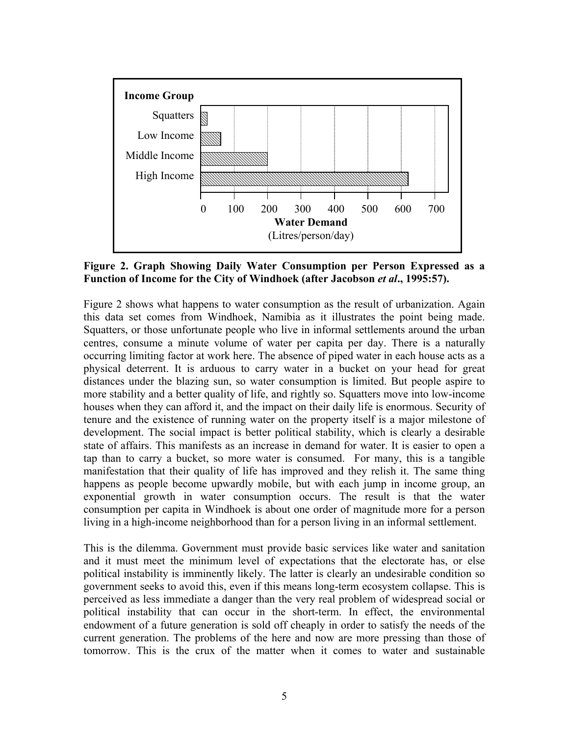

**Figure 2. Graph Showing Daily Water Consumption per Person Expressed as a Function of Income for the City of Windhoek (after Jacobson** *et al***., 1995:57).** 

Figure 2 shows what happens to water consumption as the result of urbanization. Again this data set comes from Windhoek, Namibia as it illustrates the point being made. Squatters, or those unfortunate people who live in informal settlements around the urban centres, consume a minute volume of water per capita per day. There is a naturally occurring limiting factor at work here. The absence of piped water in each house acts as a physical deterrent. It is arduous to carry water in a bucket on your head for great distances under the blazing sun, so water consumption is limited. But people aspire to more stability and a better quality of life, and rightly so. Squatters move into low-income houses when they can afford it, and the impact on their daily life is enormous. Security of tenure and the existence of running water on the property itself is a major milestone of development. The social impact is better political stability, which is clearly a desirable state of affairs. This manifests as an increase in demand for water. It is easier to open a tap than to carry a bucket, so more water is consumed. For many, this is a tangible manifestation that their quality of life has improved and they relish it. The same thing happens as people become upwardly mobile, but with each jump in income group, an exponential growth in water consumption occurs. The result is that the water consumption per capita in Windhoek is about one order of magnitude more for a person living in a high-income neighborhood than for a person living in an informal settlement.

This is the dilemma. Government must provide basic services like water and sanitation and it must meet the minimum level of expectations that the electorate has, or else political instability is imminently likely. The latter is clearly an undesirable condition so government seeks to avoid this, even if this means long-term ecosystem collapse. This is perceived as less immediate a danger than the very real problem of widespread social or political instability that can occur in the short-term. In effect, the environmental endowment of a future generation is sold off cheaply in order to satisfy the needs of the current generation. The problems of the here and now are more pressing than those of tomorrow. This is the crux of the matter when it comes to water and sustainable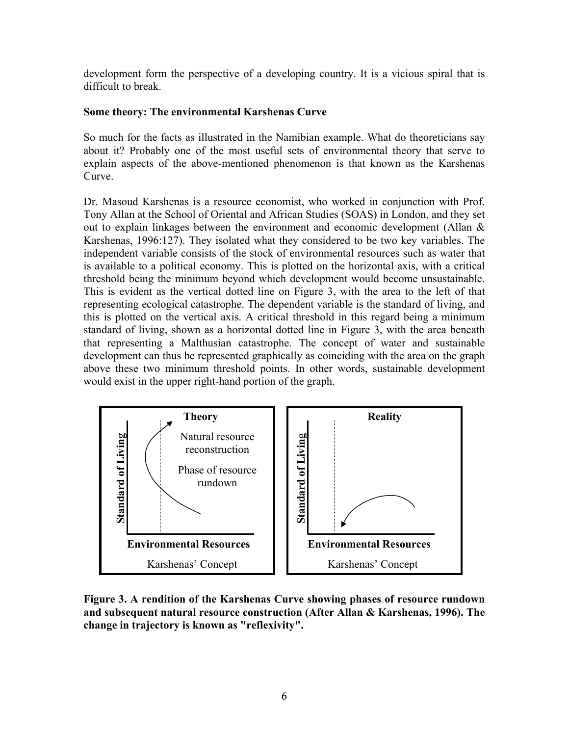development form the perspective of a developing country. It is a vicious spiral that is difficult to break.

# **Some theory: The environmental Karshenas Curve**

So much for the facts as illustrated in the Namibian example. What do theoreticians say about it? Probably one of the most useful sets of environmental theory that serve to explain aspects of the above-mentioned phenomenon is that known as the Karshenas Curve.

Dr. Masoud Karshenas is a resource economist, who worked in conjunction with Prof. Tony Allan at the School of Oriental and African Studies (SOAS) in London, and they set out to explain linkages between the environment and economic development (Allan  $\&$ Karshenas, 1996:127). They isolated what they considered to be two key variables. The independent variable consists of the stock of environmental resources such as water that is available to a political economy. This is plotted on the horizontal axis, with a critical threshold being the minimum beyond which development would become unsustainable. This is evident as the vertical dotted line on Figure 3, with the area to the left of that representing ecological catastrophe. The dependent variable is the standard of living, and this is plotted on the vertical axis. A critical threshold in this regard being a minimum standard of living, shown as a horizontal dotted line in Figure 3, with the area beneath that representing a Malthusian catastrophe. The concept of water and sustainable development can thus be represented graphically as coinciding with the area on the graph above these two minimum threshold points. In other words, sustainable development would exist in the upper right-hand portion of the graph.



**Figure 3. A rendition of the Karshenas Curve showing phases of resource rundown and subsequent natural resource construction (After Allan & Karshenas, 1996). The change in trajectory is known as "reflexivity".**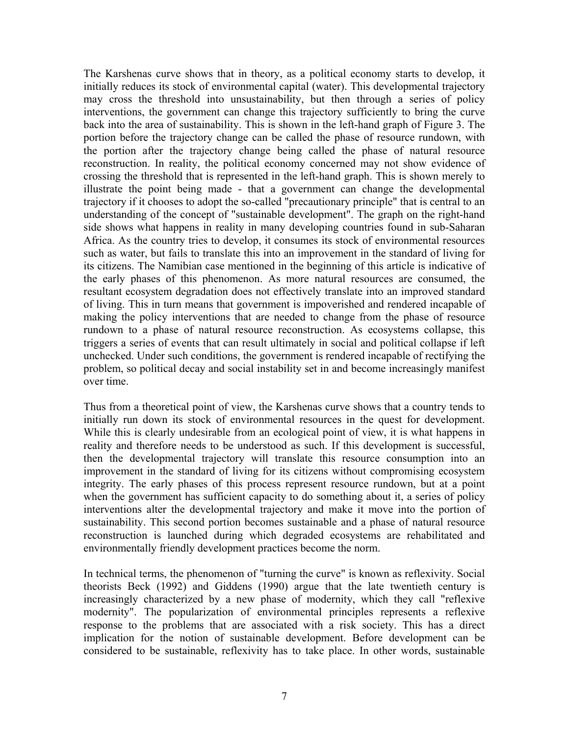The Karshenas curve shows that in theory, as a political economy starts to develop, it initially reduces its stock of environmental capital (water). This developmental trajectory may cross the threshold into unsustainability, but then through a series of policy interventions, the government can change this trajectory sufficiently to bring the curve back into the area of sustainability. This is shown in the left-hand graph of Figure 3. The portion before the trajectory change can be called the phase of resource rundown, with the portion after the trajectory change being called the phase of natural resource reconstruction. In reality, the political economy concerned may not show evidence of crossing the threshold that is represented in the left-hand graph. This is shown merely to illustrate the point being made - that a government can change the developmental trajectory if it chooses to adopt the so-called "precautionary principle" that is central to an understanding of the concept of "sustainable development". The graph on the right-hand side shows what happens in reality in many developing countries found in sub-Saharan Africa. As the country tries to develop, it consumes its stock of environmental resources such as water, but fails to translate this into an improvement in the standard of living for its citizens. The Namibian case mentioned in the beginning of this article is indicative of the early phases of this phenomenon. As more natural resources are consumed, the resultant ecosystem degradation does not effectively translate into an improved standard of living. This in turn means that government is impoverished and rendered incapable of making the policy interventions that are needed to change from the phase of resource rundown to a phase of natural resource reconstruction. As ecosystems collapse, this triggers a series of events that can result ultimately in social and political collapse if left unchecked. Under such conditions, the government is rendered incapable of rectifying the problem, so political decay and social instability set in and become increasingly manifest over time.

Thus from a theoretical point of view, the Karshenas curve shows that a country tends to initially run down its stock of environmental resources in the quest for development. While this is clearly undesirable from an ecological point of view, it is what happens in reality and therefore needs to be understood as such. If this development is successful, then the developmental trajectory will translate this resource consumption into an improvement in the standard of living for its citizens without compromising ecosystem integrity. The early phases of this process represent resource rundown, but at a point when the government has sufficient capacity to do something about it, a series of policy interventions alter the developmental trajectory and make it move into the portion of sustainability. This second portion becomes sustainable and a phase of natural resource reconstruction is launched during which degraded ecosystems are rehabilitated and environmentally friendly development practices become the norm.

In technical terms, the phenomenon of "turning the curve" is known as reflexivity. Social theorists Beck (1992) and Giddens (1990) argue that the late twentieth century is increasingly characterized by a new phase of modernity, which they call "reflexive modernity". The popularization of environmental principles represents a reflexive response to the problems that are associated with a risk society. This has a direct implication for the notion of sustainable development. Before development can be considered to be sustainable, reflexivity has to take place. In other words, sustainable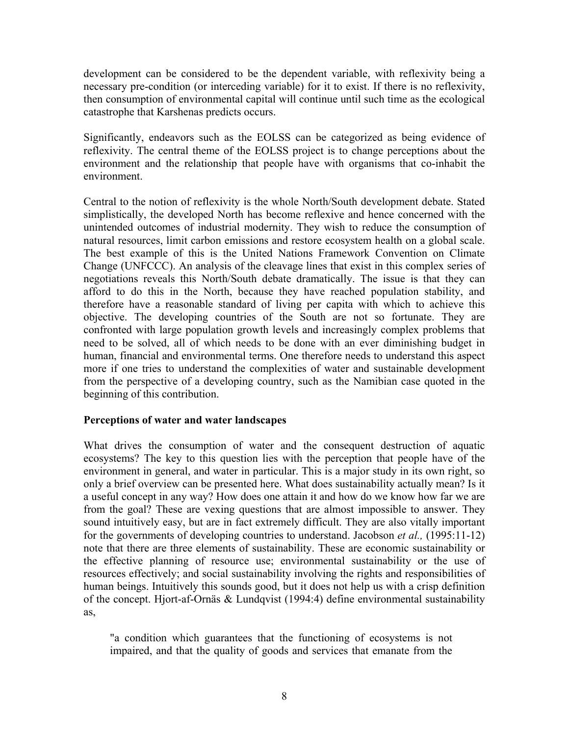development can be considered to be the dependent variable, with reflexivity being a necessary pre-condition (or interceding variable) for it to exist. If there is no reflexivity, then consumption of environmental capital will continue until such time as the ecological catastrophe that Karshenas predicts occurs.

Significantly, endeavors such as the EOLSS can be categorized as being evidence of reflexivity. The central theme of the EOLSS project is to change perceptions about the environment and the relationship that people have with organisms that co-inhabit the environment.

Central to the notion of reflexivity is the whole North/South development debate. Stated simplistically, the developed North has become reflexive and hence concerned with the unintended outcomes of industrial modernity. They wish to reduce the consumption of natural resources, limit carbon emissions and restore ecosystem health on a global scale. The best example of this is the United Nations Framework Convention on Climate Change (UNFCCC). An analysis of the cleavage lines that exist in this complex series of negotiations reveals this North/South debate dramatically. The issue is that they can afford to do this in the North, because they have reached population stability, and therefore have a reasonable standard of living per capita with which to achieve this objective. The developing countries of the South are not so fortunate. They are confronted with large population growth levels and increasingly complex problems that need to be solved, all of which needs to be done with an ever diminishing budget in human, financial and environmental terms. One therefore needs to understand this aspect more if one tries to understand the complexities of water and sustainable development from the perspective of a developing country, such as the Namibian case quoted in the beginning of this contribution.

#### **Perceptions of water and water landscapes**

What drives the consumption of water and the consequent destruction of aquatic ecosystems? The key to this question lies with the perception that people have of the environment in general, and water in particular. This is a major study in its own right, so only a brief overview can be presented here. What does sustainability actually mean? Is it a useful concept in any way? How does one attain it and how do we know how far we are from the goal? These are vexing questions that are almost impossible to answer. They sound intuitively easy, but are in fact extremely difficult. They are also vitally important for the governments of developing countries to understand. Jacobson *et al.,* (1995:11-12) note that there are three elements of sustainability. These are economic sustainability or the effective planning of resource use; environmental sustainability or the use of resources effectively; and social sustainability involving the rights and responsibilities of human beings. Intuitively this sounds good, but it does not help us with a crisp definition of the concept. Hjort-af-Ornäs & Lundqvist (1994:4) define environmental sustainability as,

"a condition which guarantees that the functioning of ecosystems is not impaired, and that the quality of goods and services that emanate from the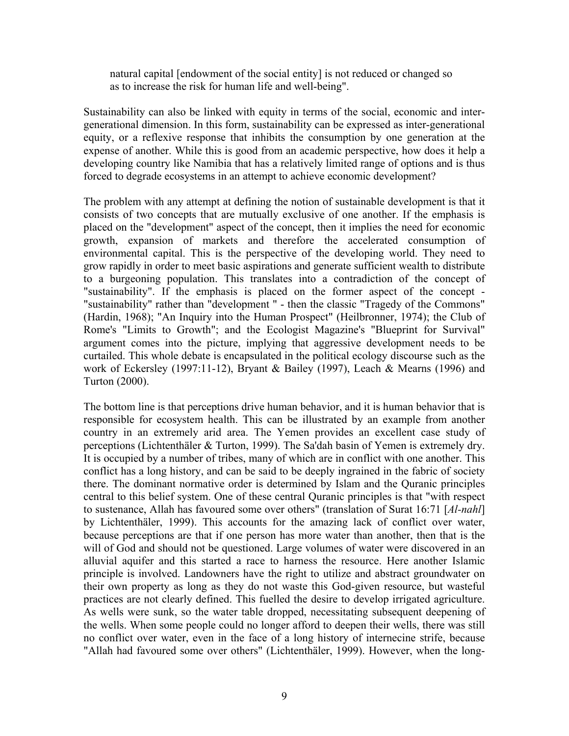natural capital [endowment of the social entity] is not reduced or changed so as to increase the risk for human life and well-being".

Sustainability can also be linked with equity in terms of the social, economic and intergenerational dimension. In this form, sustainability can be expressed as inter-generational equity, or a reflexive response that inhibits the consumption by one generation at the expense of another. While this is good from an academic perspective, how does it help a developing country like Namibia that has a relatively limited range of options and is thus forced to degrade ecosystems in an attempt to achieve economic development?

The problem with any attempt at defining the notion of sustainable development is that it consists of two concepts that are mutually exclusive of one another. If the emphasis is placed on the "development" aspect of the concept, then it implies the need for economic growth, expansion of markets and therefore the accelerated consumption of environmental capital. This is the perspective of the developing world. They need to grow rapidly in order to meet basic aspirations and generate sufficient wealth to distribute to a burgeoning population. This translates into a contradiction of the concept of "sustainability". If the emphasis is placed on the former aspect of the concept - "sustainability" rather than "development " - then the classic "Tragedy of the Commons" (Hardin, 1968); "An Inquiry into the Human Prospect" (Heilbronner, 1974); the Club of Rome's "Limits to Growth"; and the Ecologist Magazine's "Blueprint for Survival" argument comes into the picture, implying that aggressive development needs to be curtailed. This whole debate is encapsulated in the political ecology discourse such as the work of Eckersley (1997:11-12), Bryant & Bailey (1997), Leach & Mearns (1996) and Turton (2000).

The bottom line is that perceptions drive human behavior, and it is human behavior that is responsible for ecosystem health. This can be illustrated by an example from another country in an extremely arid area. The Yemen provides an excellent case study of perceptions (Lichtenthäler & Turton, 1999). The Sa'dah basin of Yemen is extremely dry. It is occupied by a number of tribes, many of which are in conflict with one another. This conflict has a long history, and can be said to be deeply ingrained in the fabric of society there. The dominant normative order is determined by Islam and the Quranic principles central to this belief system. One of these central Quranic principles is that "with respect to sustenance, Allah has favoured some over others" (translation of Surat 16:71 [*Al-nahl*] by Lichtenthäler, 1999). This accounts for the amazing lack of conflict over water, because perceptions are that if one person has more water than another, then that is the will of God and should not be questioned. Large volumes of water were discovered in an alluvial aquifer and this started a race to harness the resource. Here another Islamic principle is involved. Landowners have the right to utilize and abstract groundwater on their own property as long as they do not waste this God-given resource, but wasteful practices are not clearly defined. This fuelled the desire to develop irrigated agriculture. As wells were sunk, so the water table dropped, necessitating subsequent deepening of the wells. When some people could no longer afford to deepen their wells, there was still no conflict over water, even in the face of a long history of internecine strife, because "Allah had favoured some over others" (Lichtenthäler, 1999). However, when the long-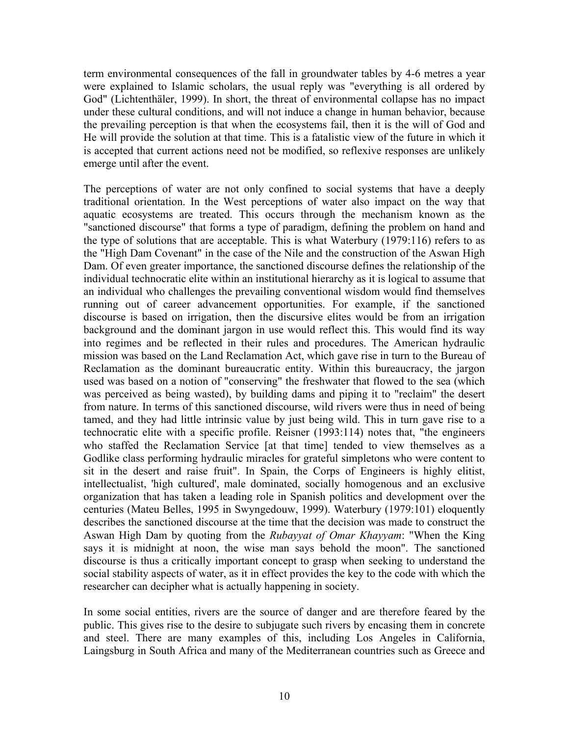term environmental consequences of the fall in groundwater tables by 4-6 metres a year were explained to Islamic scholars, the usual reply was "everything is all ordered by God" (Lichtenthäler, 1999). In short, the threat of environmental collapse has no impact under these cultural conditions, and will not induce a change in human behavior, because the prevailing perception is that when the ecosystems fail, then it is the will of God and He will provide the solution at that time. This is a fatalistic view of the future in which it is accepted that current actions need not be modified, so reflexive responses are unlikely emerge until after the event.

The perceptions of water are not only confined to social systems that have a deeply traditional orientation. In the West perceptions of water also impact on the way that aquatic ecosystems are treated. This occurs through the mechanism known as the "sanctioned discourse" that forms a type of paradigm, defining the problem on hand and the type of solutions that are acceptable. This is what Waterbury (1979:116) refers to as the "High Dam Covenant" in the case of the Nile and the construction of the Aswan High Dam. Of even greater importance, the sanctioned discourse defines the relationship of the individual technocratic elite within an institutional hierarchy as it is logical to assume that an individual who challenges the prevailing conventional wisdom would find themselves running out of career advancement opportunities. For example, if the sanctioned discourse is based on irrigation, then the discursive elites would be from an irrigation background and the dominant jargon in use would reflect this. This would find its way into regimes and be reflected in their rules and procedures. The American hydraulic mission was based on the Land Reclamation Act, which gave rise in turn to the Bureau of Reclamation as the dominant bureaucratic entity. Within this bureaucracy, the jargon used was based on a notion of "conserving" the freshwater that flowed to the sea (which was perceived as being wasted), by building dams and piping it to "reclaim" the desert from nature. In terms of this sanctioned discourse, wild rivers were thus in need of being tamed, and they had little intrinsic value by just being wild. This in turn gave rise to a technocratic elite with a specific profile. Reisner (1993:114) notes that, "the engineers who staffed the Reclamation Service [at that time] tended to view themselves as a Godlike class performing hydraulic miracles for grateful simpletons who were content to sit in the desert and raise fruit". In Spain, the Corps of Engineers is highly elitist, intellectualist, 'high cultured', male dominated, socially homogenous and an exclusive organization that has taken a leading role in Spanish politics and development over the centuries (Mateu Belles, 1995 in Swyngedouw, 1999). Waterbury (1979:101) eloquently describes the sanctioned discourse at the time that the decision was made to construct the Aswan High Dam by quoting from the *Rubayyat of Omar Khayyam*: "When the King says it is midnight at noon, the wise man says behold the moon". The sanctioned discourse is thus a critically important concept to grasp when seeking to understand the social stability aspects of water, as it in effect provides the key to the code with which the researcher can decipher what is actually happening in society.

In some social entities, rivers are the source of danger and are therefore feared by the public. This gives rise to the desire to subjugate such rivers by encasing them in concrete and steel. There are many examples of this, including Los Angeles in California, Laingsburg in South Africa and many of the Mediterranean countries such as Greece and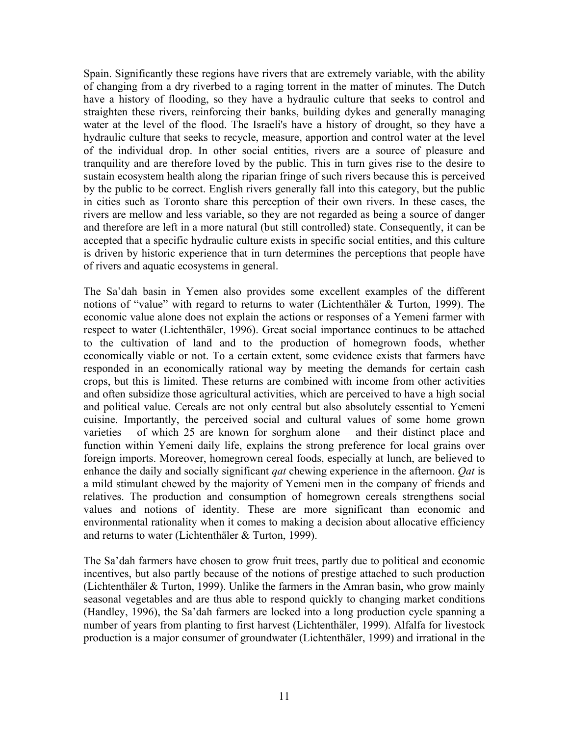Spain. Significantly these regions have rivers that are extremely variable, with the ability of changing from a dry riverbed to a raging torrent in the matter of minutes. The Dutch have a history of flooding, so they have a hydraulic culture that seeks to control and straighten these rivers, reinforcing their banks, building dykes and generally managing water at the level of the flood. The Israeli's have a history of drought, so they have a hydraulic culture that seeks to recycle, measure, apportion and control water at the level of the individual drop. In other social entities, rivers are a source of pleasure and tranquility and are therefore loved by the public. This in turn gives rise to the desire to sustain ecosystem health along the riparian fringe of such rivers because this is perceived by the public to be correct. English rivers generally fall into this category, but the public in cities such as Toronto share this perception of their own rivers. In these cases, the rivers are mellow and less variable, so they are not regarded as being a source of danger and therefore are left in a more natural (but still controlled) state. Consequently, it can be accepted that a specific hydraulic culture exists in specific social entities, and this culture is driven by historic experience that in turn determines the perceptions that people have of rivers and aquatic ecosystems in general.

The Sa'dah basin in Yemen also provides some excellent examples of the different notions of "value" with regard to returns to water (Lichtenthäler & Turton, 1999). The economic value alone does not explain the actions or responses of a Yemeni farmer with respect to water (Lichtenthäler, 1996). Great social importance continues to be attached to the cultivation of land and to the production of homegrown foods, whether economically viable or not. To a certain extent, some evidence exists that farmers have responded in an economically rational way by meeting the demands for certain cash crops, but this is limited. These returns are combined with income from other activities and often subsidize those agricultural activities, which are perceived to have a high social and political value. Cereals are not only central but also absolutely essential to Yemeni cuisine. Importantly, the perceived social and cultural values of some home grown varieties – of which 25 are known for sorghum alone – and their distinct place and function within Yemeni daily life, explains the strong preference for local grains over foreign imports. Moreover, homegrown cereal foods, especially at lunch, are believed to enhance the daily and socially significant *qat* chewing experience in the afternoon. *Qat* is a mild stimulant chewed by the majority of Yemeni men in the company of friends and relatives. The production and consumption of homegrown cereals strengthens social values and notions of identity. These are more significant than economic and environmental rationality when it comes to making a decision about allocative efficiency and returns to water (Lichtenthäler & Turton, 1999).

The Sa'dah farmers have chosen to grow fruit trees, partly due to political and economic incentives, but also partly because of the notions of prestige attached to such production (Lichtenthäler & Turton, 1999). Unlike the farmers in the Amran basin, who grow mainly seasonal vegetables and are thus able to respond quickly to changing market conditions (Handley, 1996), the Sa'dah farmers are locked into a long production cycle spanning a number of years from planting to first harvest (Lichtenthäler, 1999). Alfalfa for livestock production is a major consumer of groundwater (Lichtenthäler, 1999) and irrational in the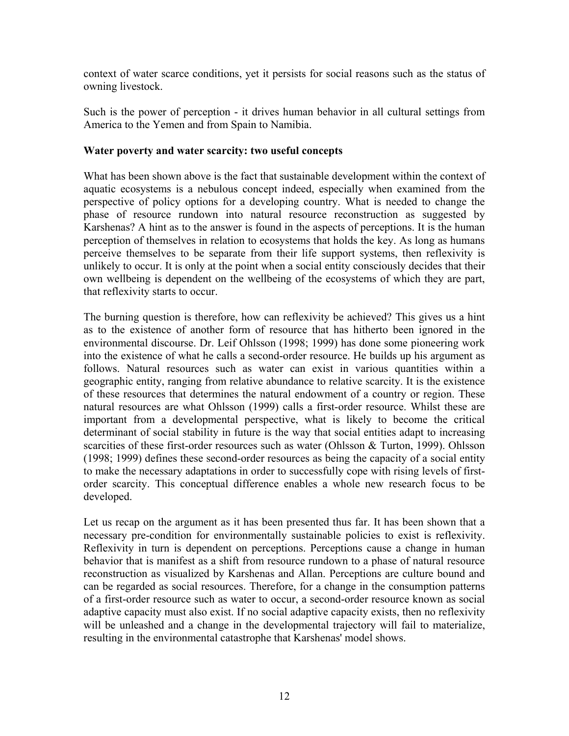context of water scarce conditions, yet it persists for social reasons such as the status of owning livestock.

Such is the power of perception - it drives human behavior in all cultural settings from America to the Yemen and from Spain to Namibia.

#### **Water poverty and water scarcity: two useful concepts**

What has been shown above is the fact that sustainable development within the context of aquatic ecosystems is a nebulous concept indeed, especially when examined from the perspective of policy options for a developing country. What is needed to change the phase of resource rundown into natural resource reconstruction as suggested by Karshenas? A hint as to the answer is found in the aspects of perceptions. It is the human perception of themselves in relation to ecosystems that holds the key. As long as humans perceive themselves to be separate from their life support systems, then reflexivity is unlikely to occur. It is only at the point when a social entity consciously decides that their own wellbeing is dependent on the wellbeing of the ecosystems of which they are part, that reflexivity starts to occur.

The burning question is therefore, how can reflexivity be achieved? This gives us a hint as to the existence of another form of resource that has hitherto been ignored in the environmental discourse. Dr. Leif Ohlsson (1998; 1999) has done some pioneering work into the existence of what he calls a second-order resource. He builds up his argument as follows. Natural resources such as water can exist in various quantities within a geographic entity, ranging from relative abundance to relative scarcity. It is the existence of these resources that determines the natural endowment of a country or region. These natural resources are what Ohlsson (1999) calls a first-order resource. Whilst these are important from a developmental perspective, what is likely to become the critical determinant of social stability in future is the way that social entities adapt to increasing scarcities of these first-order resources such as water (Ohlsson & Turton, 1999). Ohlsson (1998; 1999) defines these second-order resources as being the capacity of a social entity to make the necessary adaptations in order to successfully cope with rising levels of firstorder scarcity. This conceptual difference enables a whole new research focus to be developed.

Let us recap on the argument as it has been presented thus far. It has been shown that a necessary pre-condition for environmentally sustainable policies to exist is reflexivity. Reflexivity in turn is dependent on perceptions. Perceptions cause a change in human behavior that is manifest as a shift from resource rundown to a phase of natural resource reconstruction as visualized by Karshenas and Allan. Perceptions are culture bound and can be regarded as social resources. Therefore, for a change in the consumption patterns of a first-order resource such as water to occur, a second-order resource known as social adaptive capacity must also exist. If no social adaptive capacity exists, then no reflexivity will be unleashed and a change in the developmental trajectory will fail to materialize, resulting in the environmental catastrophe that Karshenas' model shows.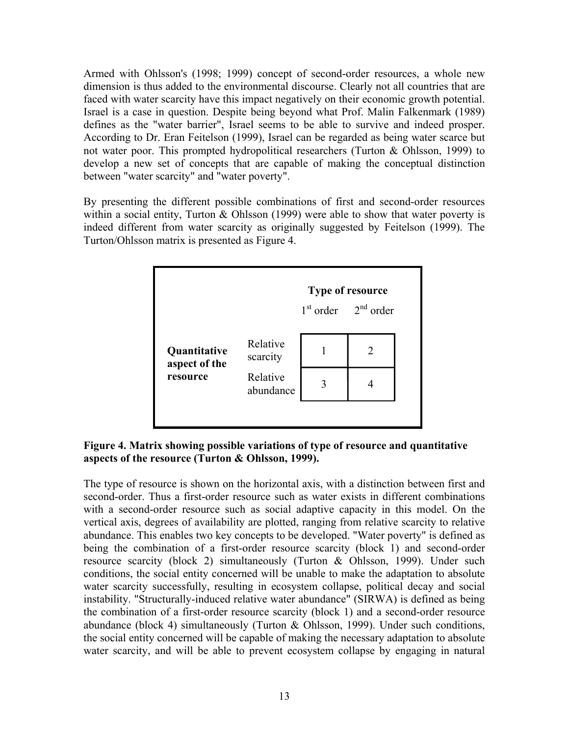Armed with Ohlsson's (1998; 1999) concept of second-order resources, a whole new dimension is thus added to the environmental discourse. Clearly not all countries that are faced with water scarcity have this impact negatively on their economic growth potential. Israel is a case in question. Despite being beyond what Prof. Malin Falkenmark (1989) defines as the "water barrier", Israel seems to be able to survive and indeed prosper. According to Dr. Eran Feitelson (1999), Israel can be regarded as being water scarce but not water poor. This prompted hydropolitical researchers (Turton & Ohlsson, 1999) to develop a new set of concepts that are capable of making the conceptual distinction between "water scarcity" and "water poverty".

By presenting the different possible combinations of first and second-order resources within a social entity, Turton  $& Ohlsson (1999)$  were able to show that water poverty is indeed different from water scarcity as originally suggested by Feitelson (1999). The Turton/Ohlsson matrix is presented as Figure 4.



# **Figure 4. Matrix showing possible variations of type of resource and quantitative aspects of the resource (Turton & Ohlsson, 1999).**

The type of resource is shown on the horizontal axis, with a distinction between first and second-order. Thus a first-order resource such as water exists in different combinations with a second-order resource such as social adaptive capacity in this model. On the vertical axis, degrees of availability are plotted, ranging from relative scarcity to relative abundance. This enables two key concepts to be developed. "Water poverty" is defined as being the combination of a first-order resource scarcity (block 1) and second-order resource scarcity (block 2) simultaneously (Turton & Ohlsson, 1999). Under such conditions, the social entity concerned will be unable to make the adaptation to absolute water scarcity successfully, resulting in ecosystem collapse, political decay and social instability. "Structurally-induced relative water abundance" (SIRWA) is defined as being the combination of a first-order resource scarcity (block 1) and a second-order resource abundance (block 4) simultaneously (Turton & Ohlsson, 1999). Under such conditions, the social entity concerned will be capable of making the necessary adaptation to absolute water scarcity, and will be able to prevent ecosystem collapse by engaging in natural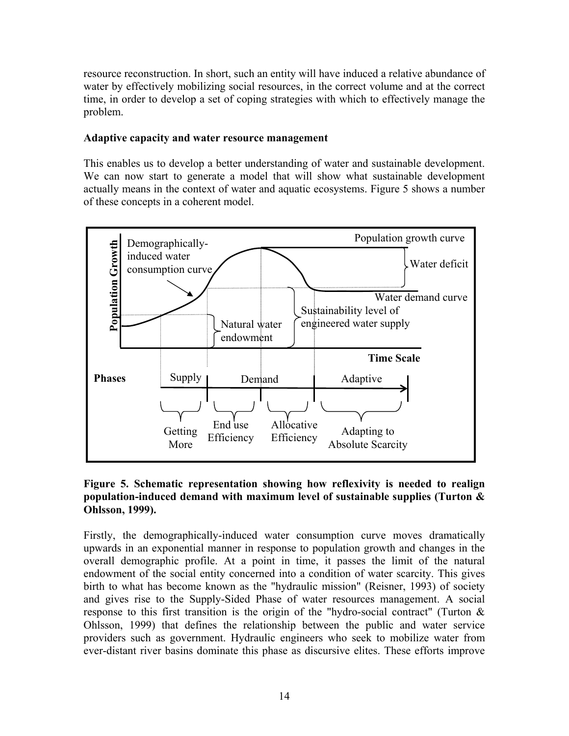resource reconstruction. In short, such an entity will have induced a relative abundance of water by effectively mobilizing social resources, in the correct volume and at the correct time, in order to develop a set of coping strategies with which to effectively manage the problem.

# **Adaptive capacity and water resource management**

This enables us to develop a better understanding of water and sustainable development. We can now start to generate a model that will show what sustainable development actually means in the context of water and aquatic ecosystems. Figure 5 shows a number of these concepts in a coherent model.



# **Figure 5. Schematic representation showing how reflexivity is needed to realign population-induced demand with maximum level of sustainable supplies (Turton & Ohlsson, 1999).**

Firstly, the demographically-induced water consumption curve moves dramatically upwards in an exponential manner in response to population growth and changes in the overall demographic profile. At a point in time, it passes the limit of the natural endowment of the social entity concerned into a condition of water scarcity. This gives birth to what has become known as the "hydraulic mission" (Reisner, 1993) of society and gives rise to the Supply-Sided Phase of water resources management. A social response to this first transition is the origin of the "hydro-social contract" (Turton  $\&$ Ohlsson, 1999) that defines the relationship between the public and water service providers such as government. Hydraulic engineers who seek to mobilize water from ever-distant river basins dominate this phase as discursive elites. These efforts improve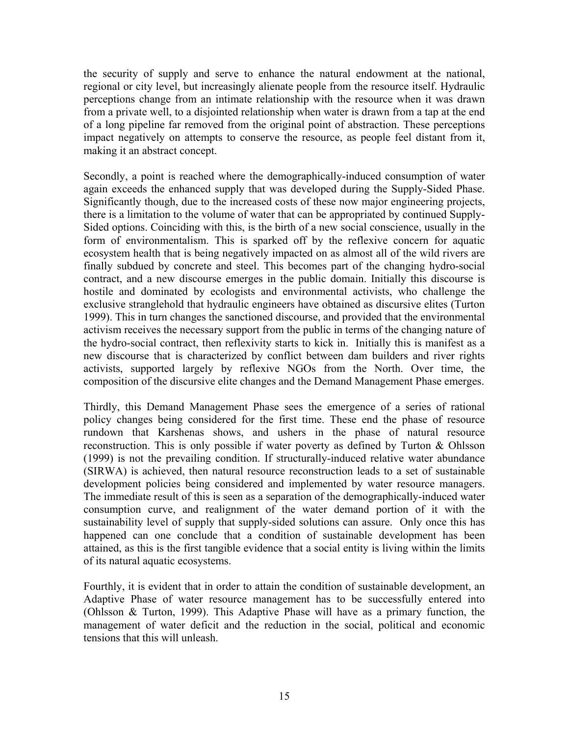the security of supply and serve to enhance the natural endowment at the national, regional or city level, but increasingly alienate people from the resource itself. Hydraulic perceptions change from an intimate relationship with the resource when it was drawn from a private well, to a disjointed relationship when water is drawn from a tap at the end of a long pipeline far removed from the original point of abstraction. These perceptions impact negatively on attempts to conserve the resource, as people feel distant from it, making it an abstract concept.

Secondly, a point is reached where the demographically-induced consumption of water again exceeds the enhanced supply that was developed during the Supply-Sided Phase. Significantly though, due to the increased costs of these now major engineering projects, there is a limitation to the volume of water that can be appropriated by continued Supply-Sided options. Coinciding with this, is the birth of a new social conscience, usually in the form of environmentalism. This is sparked off by the reflexive concern for aquatic ecosystem health that is being negatively impacted on as almost all of the wild rivers are finally subdued by concrete and steel. This becomes part of the changing hydro-social contract, and a new discourse emerges in the public domain. Initially this discourse is hostile and dominated by ecologists and environmental activists, who challenge the exclusive stranglehold that hydraulic engineers have obtained as discursive elites (Turton 1999). This in turn changes the sanctioned discourse, and provided that the environmental activism receives the necessary support from the public in terms of the changing nature of the hydro-social contract, then reflexivity starts to kick in. Initially this is manifest as a new discourse that is characterized by conflict between dam builders and river rights activists, supported largely by reflexive NGOs from the North. Over time, the composition of the discursive elite changes and the Demand Management Phase emerges.

Thirdly, this Demand Management Phase sees the emergence of a series of rational policy changes being considered for the first time. These end the phase of resource rundown that Karshenas shows, and ushers in the phase of natural resource reconstruction. This is only possible if water poverty as defined by Turton & Ohlsson (1999) is not the prevailing condition. If structurally-induced relative water abundance (SIRWA) is achieved, then natural resource reconstruction leads to a set of sustainable development policies being considered and implemented by water resource managers. The immediate result of this is seen as a separation of the demographically-induced water consumption curve, and realignment of the water demand portion of it with the sustainability level of supply that supply-sided solutions can assure. Only once this has happened can one conclude that a condition of sustainable development has been attained, as this is the first tangible evidence that a social entity is living within the limits of its natural aquatic ecosystems.

Fourthly, it is evident that in order to attain the condition of sustainable development, an Adaptive Phase of water resource management has to be successfully entered into (Ohlsson & Turton, 1999). This Adaptive Phase will have as a primary function, the management of water deficit and the reduction in the social, political and economic tensions that this will unleash.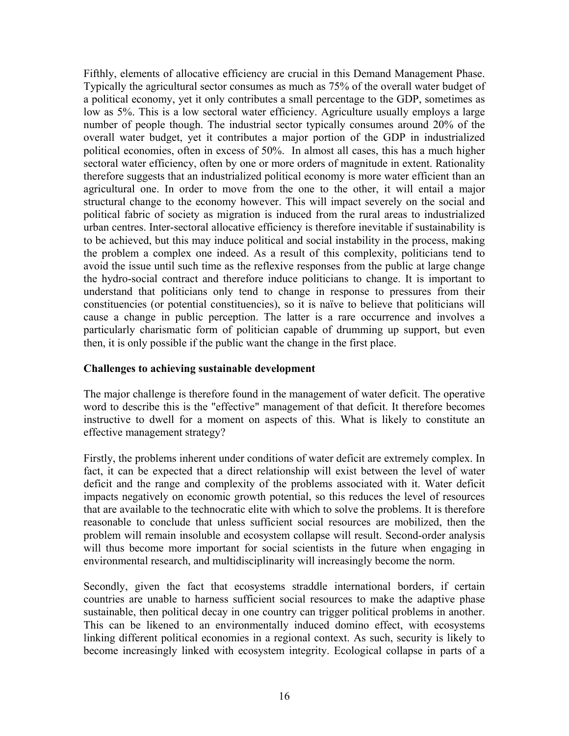Fifthly, elements of allocative efficiency are crucial in this Demand Management Phase. Typically the agricultural sector consumes as much as 75% of the overall water budget of a political economy, yet it only contributes a small percentage to the GDP, sometimes as low as 5%. This is a low sectoral water efficiency. Agriculture usually employs a large number of people though. The industrial sector typically consumes around 20% of the overall water budget, yet it contributes a major portion of the GDP in industrialized political economies, often in excess of 50%. In almost all cases, this has a much higher sectoral water efficiency, often by one or more orders of magnitude in extent. Rationality therefore suggests that an industrialized political economy is more water efficient than an agricultural one. In order to move from the one to the other, it will entail a major structural change to the economy however. This will impact severely on the social and political fabric of society as migration is induced from the rural areas to industrialized urban centres. Inter-sectoral allocative efficiency is therefore inevitable if sustainability is to be achieved, but this may induce political and social instability in the process, making the problem a complex one indeed. As a result of this complexity, politicians tend to avoid the issue until such time as the reflexive responses from the public at large change the hydro-social contract and therefore induce politicians to change. It is important to understand that politicians only tend to change in response to pressures from their constituencies (or potential constituencies), so it is naïve to believe that politicians will cause a change in public perception. The latter is a rare occurrence and involves a particularly charismatic form of politician capable of drumming up support, but even then, it is only possible if the public want the change in the first place.

#### **Challenges to achieving sustainable development**

The major challenge is therefore found in the management of water deficit. The operative word to describe this is the "effective" management of that deficit. It therefore becomes instructive to dwell for a moment on aspects of this. What is likely to constitute an effective management strategy?

Firstly, the problems inherent under conditions of water deficit are extremely complex. In fact, it can be expected that a direct relationship will exist between the level of water deficit and the range and complexity of the problems associated with it. Water deficit impacts negatively on economic growth potential, so this reduces the level of resources that are available to the technocratic elite with which to solve the problems. It is therefore reasonable to conclude that unless sufficient social resources are mobilized, then the problem will remain insoluble and ecosystem collapse will result. Second-order analysis will thus become more important for social scientists in the future when engaging in environmental research, and multidisciplinarity will increasingly become the norm.

Secondly, given the fact that ecosystems straddle international borders, if certain countries are unable to harness sufficient social resources to make the adaptive phase sustainable, then political decay in one country can trigger political problems in another. This can be likened to an environmentally induced domino effect, with ecosystems linking different political economies in a regional context. As such, security is likely to become increasingly linked with ecosystem integrity. Ecological collapse in parts of a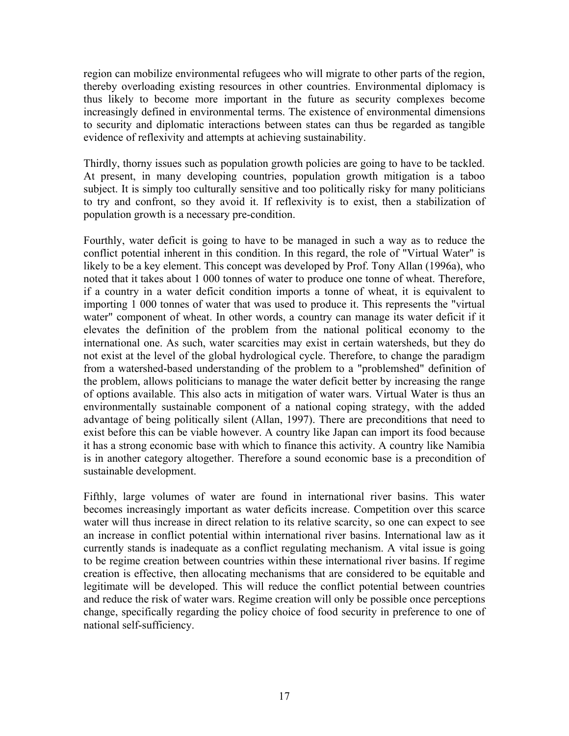region can mobilize environmental refugees who will migrate to other parts of the region, thereby overloading existing resources in other countries. Environmental diplomacy is thus likely to become more important in the future as security complexes become increasingly defined in environmental terms. The existence of environmental dimensions to security and diplomatic interactions between states can thus be regarded as tangible evidence of reflexivity and attempts at achieving sustainability.

Thirdly, thorny issues such as population growth policies are going to have to be tackled. At present, in many developing countries, population growth mitigation is a taboo subject. It is simply too culturally sensitive and too politically risky for many politicians to try and confront, so they avoid it. If reflexivity is to exist, then a stabilization of population growth is a necessary pre-condition.

Fourthly, water deficit is going to have to be managed in such a way as to reduce the conflict potential inherent in this condition. In this regard, the role of "Virtual Water" is likely to be a key element. This concept was developed by Prof. Tony Allan (1996a), who noted that it takes about 1 000 tonnes of water to produce one tonne of wheat. Therefore, if a country in a water deficit condition imports a tonne of wheat, it is equivalent to importing 1 000 tonnes of water that was used to produce it. This represents the "virtual water" component of wheat. In other words, a country can manage its water deficit if it elevates the definition of the problem from the national political economy to the international one. As such, water scarcities may exist in certain watersheds, but they do not exist at the level of the global hydrological cycle. Therefore, to change the paradigm from a watershed-based understanding of the problem to a "problemshed" definition of the problem, allows politicians to manage the water deficit better by increasing the range of options available. This also acts in mitigation of water wars. Virtual Water is thus an environmentally sustainable component of a national coping strategy, with the added advantage of being politically silent (Allan, 1997). There are preconditions that need to exist before this can be viable however. A country like Japan can import its food because it has a strong economic base with which to finance this activity. A country like Namibia is in another category altogether. Therefore a sound economic base is a precondition of sustainable development.

Fifthly, large volumes of water are found in international river basins. This water becomes increasingly important as water deficits increase. Competition over this scarce water will thus increase in direct relation to its relative scarcity, so one can expect to see an increase in conflict potential within international river basins. International law as it currently stands is inadequate as a conflict regulating mechanism. A vital issue is going to be regime creation between countries within these international river basins. If regime creation is effective, then allocating mechanisms that are considered to be equitable and legitimate will be developed. This will reduce the conflict potential between countries and reduce the risk of water wars. Regime creation will only be possible once perceptions change, specifically regarding the policy choice of food security in preference to one of national self-sufficiency.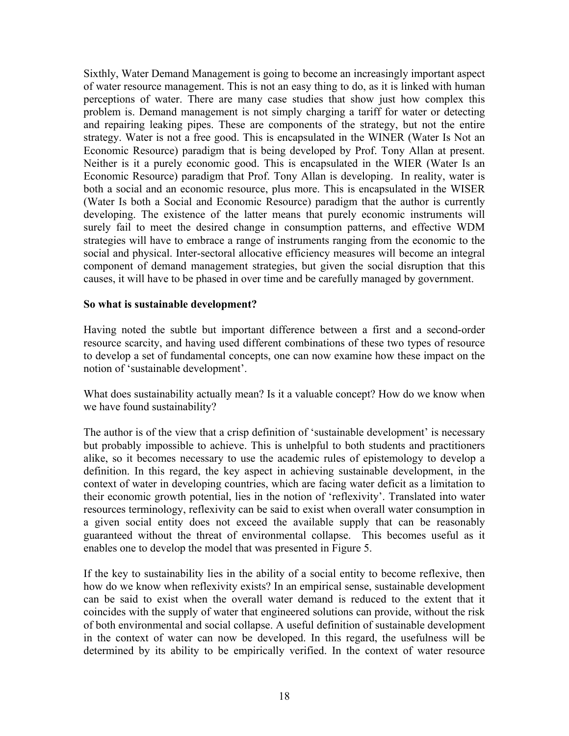Sixthly, Water Demand Management is going to become an increasingly important aspect of water resource management. This is not an easy thing to do, as it is linked with human perceptions of water. There are many case studies that show just how complex this problem is. Demand management is not simply charging a tariff for water or detecting and repairing leaking pipes. These are components of the strategy, but not the entire strategy. Water is not a free good. This is encapsulated in the WINER (Water Is Not an Economic Resource) paradigm that is being developed by Prof. Tony Allan at present. Neither is it a purely economic good. This is encapsulated in the WIER (Water Is an Economic Resource) paradigm that Prof. Tony Allan is developing. In reality, water is both a social and an economic resource, plus more. This is encapsulated in the WISER (Water Is both a Social and Economic Resource) paradigm that the author is currently developing. The existence of the latter means that purely economic instruments will surely fail to meet the desired change in consumption patterns, and effective WDM strategies will have to embrace a range of instruments ranging from the economic to the social and physical. Inter-sectoral allocative efficiency measures will become an integral component of demand management strategies, but given the social disruption that this causes, it will have to be phased in over time and be carefully managed by government.

#### **So what is sustainable development?**

Having noted the subtle but important difference between a first and a second-order resource scarcity, and having used different combinations of these two types of resource to develop a set of fundamental concepts, one can now examine how these impact on the notion of 'sustainable development'.

What does sustainability actually mean? Is it a valuable concept? How do we know when we have found sustainability?

The author is of the view that a crisp definition of 'sustainable development' is necessary but probably impossible to achieve. This is unhelpful to both students and practitioners alike, so it becomes necessary to use the academic rules of epistemology to develop a definition. In this regard, the key aspect in achieving sustainable development, in the context of water in developing countries, which are facing water deficit as a limitation to their economic growth potential, lies in the notion of 'reflexivity'. Translated into water resources terminology, reflexivity can be said to exist when overall water consumption in a given social entity does not exceed the available supply that can be reasonably guaranteed without the threat of environmental collapse. This becomes useful as it enables one to develop the model that was presented in Figure 5.

If the key to sustainability lies in the ability of a social entity to become reflexive, then how do we know when reflexivity exists? In an empirical sense, sustainable development can be said to exist when the overall water demand is reduced to the extent that it coincides with the supply of water that engineered solutions can provide, without the risk of both environmental and social collapse. A useful definition of sustainable development in the context of water can now be developed. In this regard, the usefulness will be determined by its ability to be empirically verified. In the context of water resource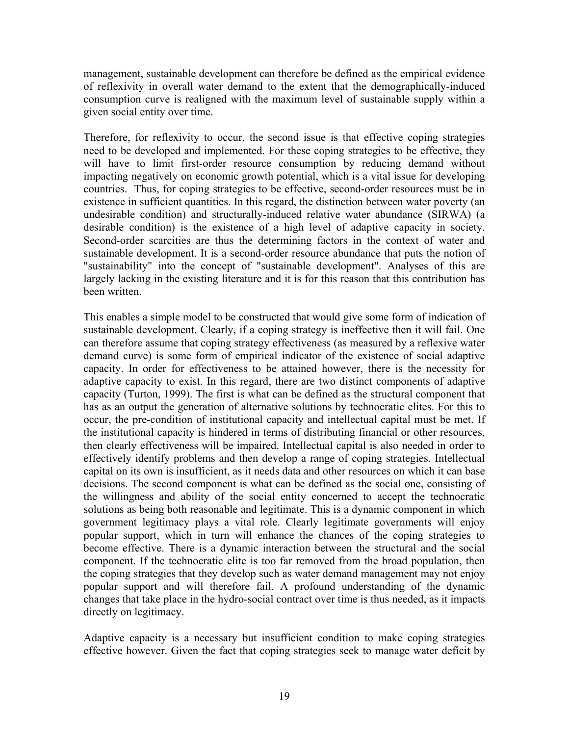management, sustainable development can therefore be defined as the empirical evidence of reflexivity in overall water demand to the extent that the demographically-induced consumption curve is realigned with the maximum level of sustainable supply within a given social entity over time.

Therefore, for reflexivity to occur, the second issue is that effective coping strategies need to be developed and implemented. For these coping strategies to be effective, they will have to limit first-order resource consumption by reducing demand without impacting negatively on economic growth potential, which is a vital issue for developing countries. Thus, for coping strategies to be effective, second-order resources must be in existence in sufficient quantities. In this regard, the distinction between water poverty (an undesirable condition) and structurally-induced relative water abundance (SIRWA) (a desirable condition) is the existence of a high level of adaptive capacity in society. Second-order scarcities are thus the determining factors in the context of water and sustainable development. It is a second-order resource abundance that puts the notion of "sustainability" into the concept of "sustainable development". Analyses of this are largely lacking in the existing literature and it is for this reason that this contribution has been written.

This enables a simple model to be constructed that would give some form of indication of sustainable development. Clearly, if a coping strategy is ineffective then it will fail. One can therefore assume that coping strategy effectiveness (as measured by a reflexive water demand curve) is some form of empirical indicator of the existence of social adaptive capacity. In order for effectiveness to be attained however, there is the necessity for adaptive capacity to exist. In this regard, there are two distinct components of adaptive capacity (Turton, 1999). The first is what can be defined as the structural component that has as an output the generation of alternative solutions by technocratic elites. For this to occur, the pre-condition of institutional capacity and intellectual capital must be met. If the institutional capacity is hindered in terms of distributing financial or other resources, then clearly effectiveness will be impaired. Intellectual capital is also needed in order to effectively identify problems and then develop a range of coping strategies. Intellectual capital on its own is insufficient, as it needs data and other resources on which it can base decisions. The second component is what can be defined as the social one, consisting of the willingness and ability of the social entity concerned to accept the technocratic solutions as being both reasonable and legitimate. This is a dynamic component in which government legitimacy plays a vital role. Clearly legitimate governments will enjoy popular support, which in turn will enhance the chances of the coping strategies to become effective. There is a dynamic interaction between the structural and the social component. If the technocratic elite is too far removed from the broad population, then the coping strategies that they develop such as water demand management may not enjoy popular support and will therefore fail. A profound understanding of the dynamic changes that take place in the hydro-social contract over time is thus needed, as it impacts directly on legitimacy.

Adaptive capacity is a necessary but insufficient condition to make coping strategies effective however. Given the fact that coping strategies seek to manage water deficit by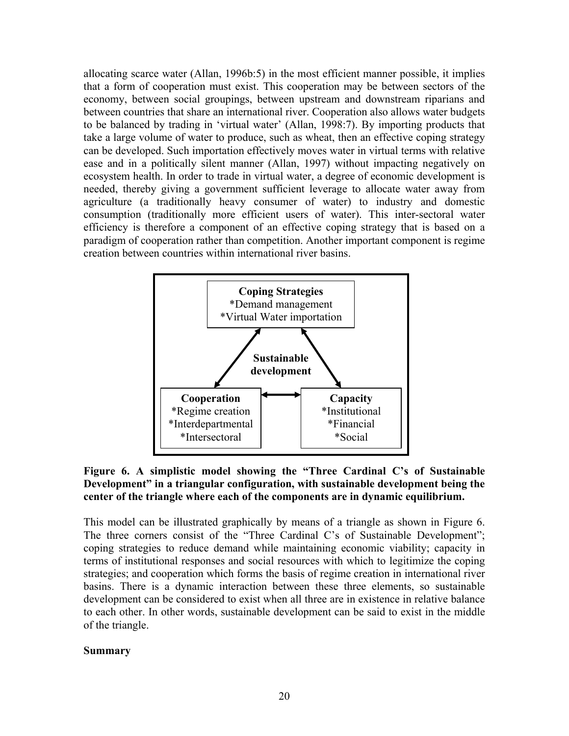allocating scarce water (Allan, 1996b:5) in the most efficient manner possible, it implies that a form of cooperation must exist. This cooperation may be between sectors of the economy, between social groupings, between upstream and downstream riparians and between countries that share an international river. Cooperation also allows water budgets to be balanced by trading in 'virtual water' (Allan, 1998:7). By importing products that take a large volume of water to produce, such as wheat, then an effective coping strategy can be developed. Such importation effectively moves water in virtual terms with relative ease and in a politically silent manner (Allan, 1997) without impacting negatively on ecosystem health. In order to trade in virtual water, a degree of economic development is needed, thereby giving a government sufficient leverage to allocate water away from agriculture (a traditionally heavy consumer of water) to industry and domestic consumption (traditionally more efficient users of water). This inter-sectoral water efficiency is therefore a component of an effective coping strategy that is based on a paradigm of cooperation rather than competition. Another important component is regime creation between countries within international river basins.



# **Figure 6. A simplistic model showing the "Three Cardinal C's of Sustainable Development" in a triangular configuration, with sustainable development being the center of the triangle where each of the components are in dynamic equilibrium.**

This model can be illustrated graphically by means of a triangle as shown in Figure 6. The three corners consist of the "Three Cardinal C's of Sustainable Development"; coping strategies to reduce demand while maintaining economic viability; capacity in terms of institutional responses and social resources with which to legitimize the coping strategies; and cooperation which forms the basis of regime creation in international river basins. There is a dynamic interaction between these three elements, so sustainable development can be considered to exist when all three are in existence in relative balance to each other. In other words, sustainable development can be said to exist in the middle of the triangle.

#### **Summary**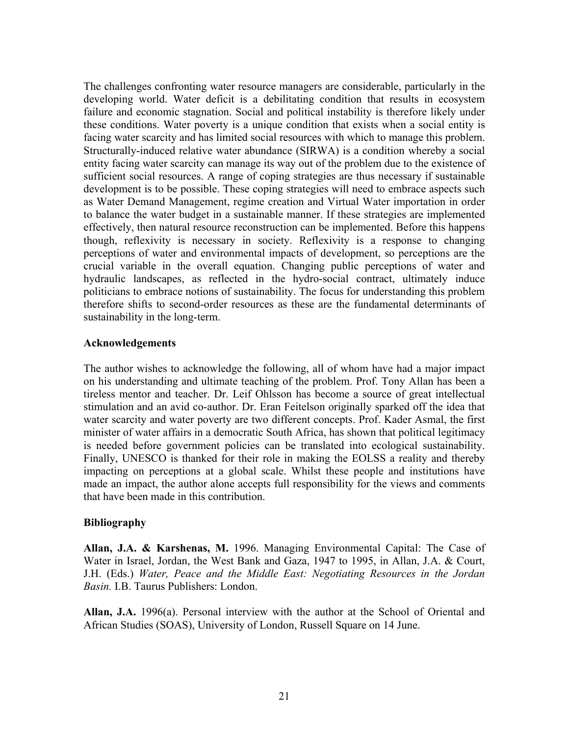The challenges confronting water resource managers are considerable, particularly in the developing world. Water deficit is a debilitating condition that results in ecosystem failure and economic stagnation. Social and political instability is therefore likely under these conditions. Water poverty is a unique condition that exists when a social entity is facing water scarcity and has limited social resources with which to manage this problem. Structurally-induced relative water abundance (SIRWA) is a condition whereby a social entity facing water scarcity can manage its way out of the problem due to the existence of sufficient social resources. A range of coping strategies are thus necessary if sustainable development is to be possible. These coping strategies will need to embrace aspects such as Water Demand Management, regime creation and Virtual Water importation in order to balance the water budget in a sustainable manner. If these strategies are implemented effectively, then natural resource reconstruction can be implemented. Before this happens though, reflexivity is necessary in society. Reflexivity is a response to changing perceptions of water and environmental impacts of development, so perceptions are the crucial variable in the overall equation. Changing public perceptions of water and hydraulic landscapes, as reflected in the hydro-social contract, ultimately induce politicians to embrace notions of sustainability. The focus for understanding this problem therefore shifts to second-order resources as these are the fundamental determinants of sustainability in the long-term.

#### **Acknowledgements**

The author wishes to acknowledge the following, all of whom have had a major impact on his understanding and ultimate teaching of the problem. Prof. Tony Allan has been a tireless mentor and teacher. Dr. Leif Ohlsson has become a source of great intellectual stimulation and an avid co-author. Dr. Eran Feitelson originally sparked off the idea that water scarcity and water poverty are two different concepts. Prof. Kader Asmal, the first minister of water affairs in a democratic South Africa, has shown that political legitimacy is needed before government policies can be translated into ecological sustainability. Finally, UNESCO is thanked for their role in making the EOLSS a reality and thereby impacting on perceptions at a global scale. Whilst these people and institutions have made an impact, the author alone accepts full responsibility for the views and comments that have been made in this contribution.

#### **Bibliography**

**Allan, J.A. & Karshenas, M.** 1996. Managing Environmental Capital: The Case of Water in Israel, Jordan, the West Bank and Gaza, 1947 to 1995, in Allan, J.A. & Court, J.H. (Eds.) *Water, Peace and the Middle East: Negotiating Resources in the Jordan Basin.* I.B. Taurus Publishers: London.

**Allan, J.A.** 1996(a). Personal interview with the author at the School of Oriental and African Studies (SOAS), University of London, Russell Square on 14 June.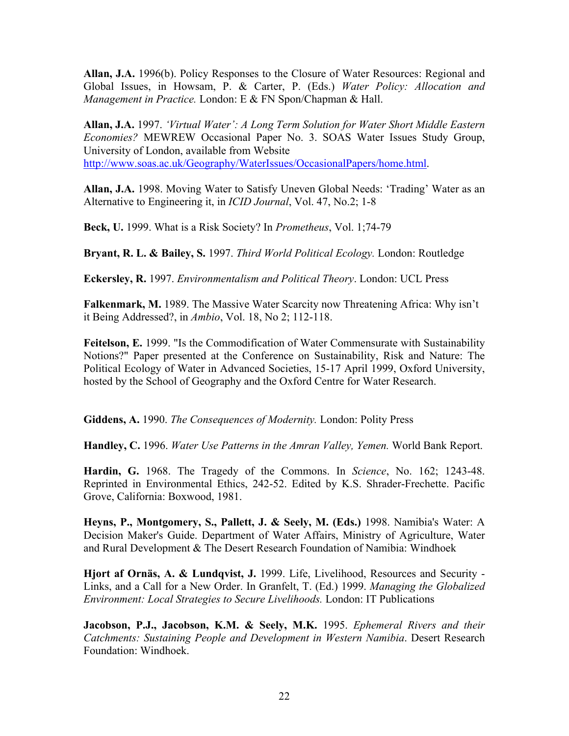**Allan, J.A.** 1996(b). Policy Responses to the Closure of Water Resources: Regional and Global Issues, in Howsam, P. & Carter, P. (Eds.) *Water Policy: Allocation and Management in Practice.* London: E & FN Spon/Chapman & Hall.

**Allan, J.A.** 1997. *'Virtual Water': A Long Term Solution for Water Short Middle Eastern Economies?* MEWREW Occasional Paper No. 3. SOAS Water Issues Study Group, University of London, available from Website <http://www.soas.ac.uk/Geography/WaterIssues/OccasionalPapers/home.html>.

**Allan, J.A.** 1998. Moving Water to Satisfy Uneven Global Needs: 'Trading' Water as an Alternative to Engineering it, in *ICID Journal*, Vol. 47, No.2; 1-8

**Beck, U.** 1999. What is a Risk Society? In *Prometheus*, Vol. 1;74-79

**Bryant, R. L. & Bailey, S.** 1997. *Third World Political Ecology.* London: Routledge

**Eckersley, R.** 1997. *Environmentalism and Political Theory*. London: UCL Press

**Falkenmark, M.** 1989. The Massive Water Scarcity now Threatening Africa: Why isn't it Being Addressed?, in *Ambio*, Vol. 18, No 2; 112-118.

**Feitelson, E.** 1999. "Is the Commodification of Water Commensurate with Sustainability Notions?" Paper presented at the Conference on Sustainability, Risk and Nature: The Political Ecology of Water in Advanced Societies, 15-17 April 1999, Oxford University, hosted by the School of Geography and the Oxford Centre for Water Research.

**Giddens, A.** 1990. *The Consequences of Modernity.* London: Polity Press

**Handley, C.** 1996. *Water Use Patterns in the Amran Valley, Yemen.* World Bank Report.

**Hardin, G.** 1968. The Tragedy of the Commons. In *Science*, No. 162; 1243-48. Reprinted in Environmental Ethics, 242-52. Edited by K.S. Shrader-Frechette. Pacific Grove, California: Boxwood, 1981.

**Heyns, P., Montgomery, S., Pallett, J. & Seely, M. (Eds.)** 1998. Namibia's Water: A Decision Maker's Guide. Department of Water Affairs, Ministry of Agriculture, Water and Rural Development & The Desert Research Foundation of Namibia: Windhoek

**Hjort af Ornäs, A. & Lundqvist, J.** 1999. Life, Livelihood, Resources and Security - Links, and a Call for a New Order. In Granfelt, T. (Ed.) 1999. *Managing the Globalized Environment: Local Strategies to Secure Livelihoods.* London: IT Publications

**Jacobson, P.J., Jacobson, K.M. & Seely, M.K.** 1995. *Ephemeral Rivers and their Catchments: Sustaining People and Development in Western Namibia*. Desert Research Foundation: Windhoek.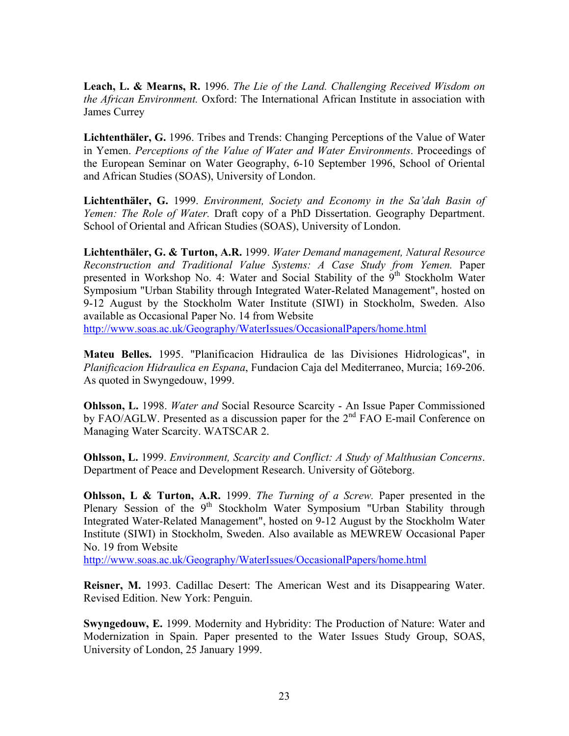**Leach, L. & Mearns, R.** 1996. *The Lie of the Land. Challenging Received Wisdom on the African Environment.* Oxford: The International African Institute in association with James Currey

**Lichtenthäler, G.** 1996. Tribes and Trends: Changing Perceptions of the Value of Water in Yemen. *Perceptions of the Value of Water and Water Environments*. Proceedings of the European Seminar on Water Geography, 6-10 September 1996, School of Oriental and African Studies (SOAS), University of London.

**Lichtenthäler, G.** 1999. *Environment, Society and Economy in the Sa'dah Basin of Yemen: The Role of Water.* Draft copy of a PhD Dissertation. Geography Department. School of Oriental and African Studies (SOAS), University of London.

**Lichtenthäler, G. & Turton, A.R.** 1999. *Water Demand management, Natural Resource Reconstruction and Traditional Value Systems: A Case Study from Yemen.* Paper presented in Workshop No. 4: Water and Social Stability of the 9<sup>th</sup> Stockholm Water Symposium "Urban Stability through Integrated Water-Related Management", hosted on 9-12 August by the Stockholm Water Institute (SIWI) in Stockholm, Sweden. Also available as Occasional Paper No. 14 from Website

<http://www.soas.ac.uk/Geography/WaterIssues/OccasionalPapers/home.html>

**Mateu Belles.** 1995. "Planificacion Hidraulica de las Divisiones Hidrologicas", in *Planificacion Hidraulica en Espana*, Fundacion Caja del Mediterraneo, Murcia; 169-206. As quoted in Swyngedouw, 1999.

**Ohlsson, L.** 1998. *Water and* Social Resource Scarcity - An Issue Paper Commissioned by FAO/AGLW. Presented as a discussion paper for the  $2<sup>nd</sup>$  FAO E-mail Conference on Managing Water Scarcity. WATSCAR 2.

**Ohlsson, L.** 1999. *Environment, Scarcity and Conflict: A Study of Malthusian Concerns*. Department of Peace and Development Research. University of Göteborg.

**Ohlsson, L & Turton, A.R.** 1999. *The Turning of a Screw.* Paper presented in the Plenary Session of the  $9<sup>th</sup>$  Stockholm Water Symposium "Urban Stability through Integrated Water-Related Management", hosted on 9-12 August by the Stockholm Water Institute (SIWI) in Stockholm, Sweden. Also available as MEWREW Occasional Paper No. 19 from Website

<http://www.soas.ac.uk/Geography/WaterIssues/OccasionalPapers/home.html>

**Reisner, M.** 1993. Cadillac Desert: The American West and its Disappearing Water. Revised Edition. New York: Penguin.

**Swyngedouw, E.** 1999. Modernity and Hybridity: The Production of Nature: Water and Modernization in Spain. Paper presented to the Water Issues Study Group, SOAS, University of London, 25 January 1999.